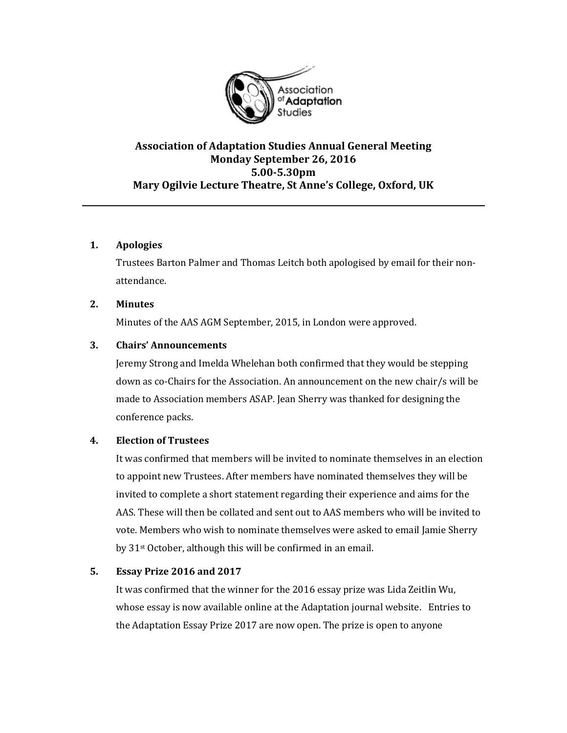

# **Association of Adaptation Studies Annual General Meeting Monday September 26, 2016 5.00-5.30pm Mary Ogilvie Lecture Theatre, St Anne's College, Oxford, UK**

# **1. Apologies**

Trustees Barton Palmer and Thomas Leitch both apologised by email for their nonattendance.

# **2. Minutes**

Minutes of the AAS AGM September, 2015, in London were approved.

# **3. Chairs' Announcements**

Jeremy Strong and Imelda Whelehan both confirmed that they would be stepping down as co-Chairs for the Association. An announcement on the new chair/s will be made to Association members ASAP. Jean Sherry was thanked for designing the conference packs.

# **4. Election of Trustees**

It was confirmed that members will be invited to nominate themselves in an election to appoint new Trustees. After members have nominated themselves they will be invited to complete a short statement regarding their experience and aims for the AAS. These will then be collated and sent out to AAS members who will be invited to vote. Members who wish to nominate themselves were asked to email Jamie Sherry by 31st October, although this will be confirmed in an email.

# **5. Essay Prize 2016 and 2017**

It was confirmed that the winner for the 2016 essay prize was Lida Zeitlin Wu, whose essay is now available online at the Adaptation journal website. Entries to the Adaptation Essay Prize 2017 are now open. The prize is open to anyone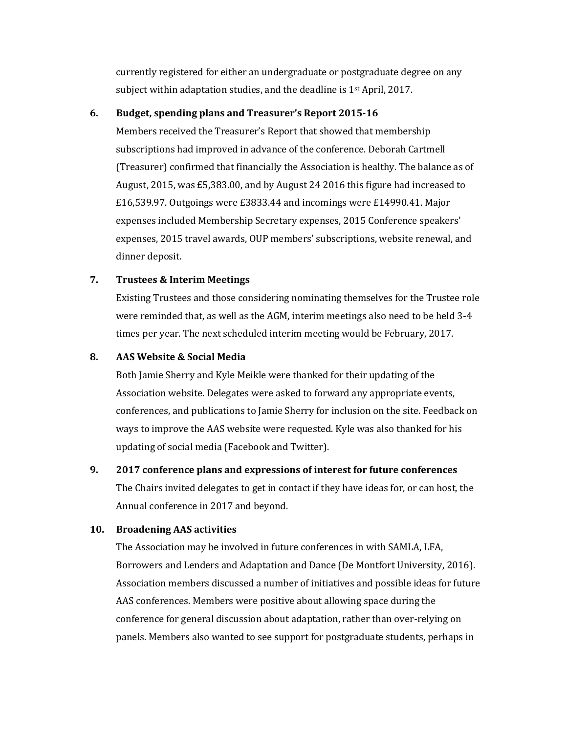currently registered for either an undergraduate or postgraduate degree on any subject within adaptation studies, and the deadline is 1st April, 2017.

#### **6. Budget, spending plans and Treasurer's Report 2015-16**

Members received the Treasurer's Report that showed that membership subscriptions had improved in advance of the conference. Deborah Cartmell (Treasurer) confirmed that financially the Association is healthy. The balance as of August, 2015, was £5,383.00, and by August 24 2016 this figure had increased to £16,539.97. Outgoings were £3833.44 and incomings were £14990.41. Major expenses included Membership Secretary expenses, 2015 Conference speakers' expenses, 2015 travel awards, OUP members' subscriptions, website renewal, and dinner deposit.

# **7. Trustees & Interim Meetings**

Existing Trustees and those considering nominating themselves for the Trustee role were reminded that, as well as the AGM, interim meetings also need to be held 3-4 times per year. The next scheduled interim meeting would be February, 2017.

# **8. AAS Website & Social Media**

Both Jamie Sherry and Kyle Meikle were thanked for their updating of the Association website. Delegates were asked to forward any appropriate events, conferences, and publications to Jamie Sherry for inclusion on the site. Feedback on ways to improve the AAS website were requested. Kyle was also thanked for his updating of social media (Facebook and Twitter).

# **9. 2017 conference plans and expressions of interest for future conferences**

The Chairs invited delegates to get in contact if they have ideas for, or can host, the Annual conference in 2017 and beyond.

# **10. Broadening AAS activities**

The Association may be involved in future conferences in with SAMLA, LFA, Borrowers and Lenders and Adaptation and Dance (De Montfort University, 2016). Association members discussed a number of initiatives and possible ideas for future AAS conferences. Members were positive about allowing space during the conference for general discussion about adaptation, rather than over-relying on panels. Members also wanted to see support for postgraduate students, perhaps in